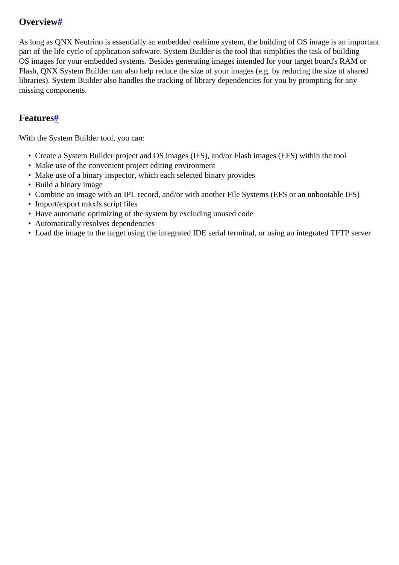## <span id="page-0-0"></span>**Overvie[w#](#page-0-0)**

As long as QNX Neutrino is essentially an embedded realtime system, the building of OS image is an important part of the life cycle of application software. System Builder is the tool that simplifies the task of building OS images for your embedded systems. Besides generating images intended for your target board's RAM or Flash, QNX System Builder can also help reduce the size of your images (e.g. by reducing the size of shared libraries). System Builder also handles the tracking of library dependencies for you by prompting for any missing components.

## <span id="page-0-1"></span>**Features[#](#page-0-1)**

With the System Builder tool, you can:

- Create a System Builder project and OS images (IFS), and/or Flash images (EFS) within the tool
- Make use of the convenient project editing environment
- Make use of a binary inspector, which each selected binary provides
- Build a binary image
- Combine an image with an IPL record, and/or with another File Systems (EFS or an unbootable IFS)
- Import/export mkxfs script files
- Have automatic optimizing of the system by excluding unused code
- Automatically resolves dependencies
- Load the image to the target using the integrated IDE serial terminal, or using an integrated TFTP server